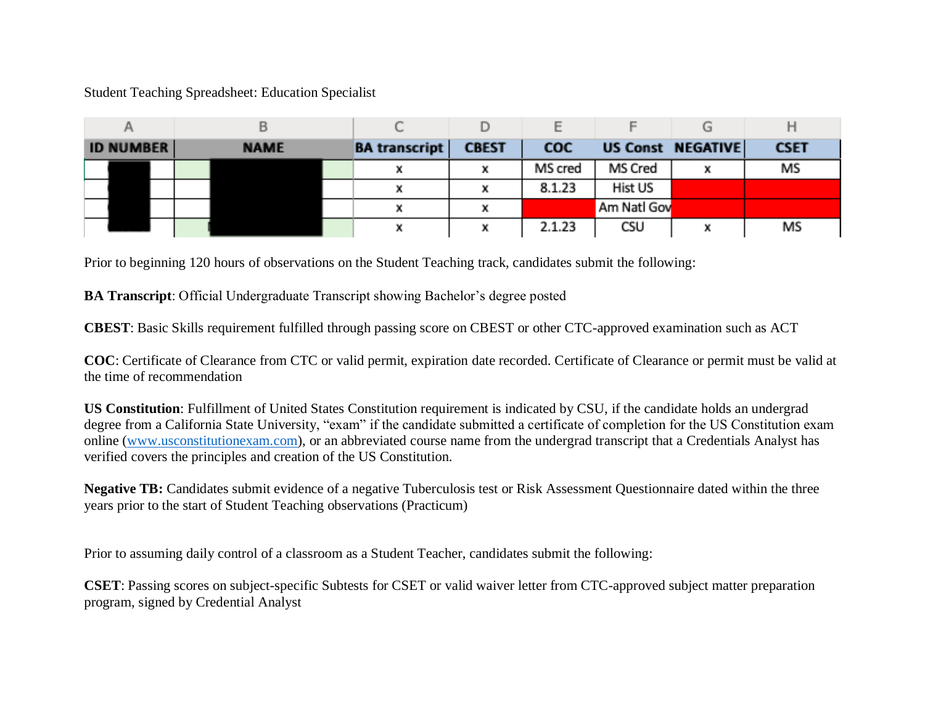## Student Teaching Spreadsheet: Education Specialist

|                  |             |                      |              |            | Е           |                   |             |
|------------------|-------------|----------------------|--------------|------------|-------------|-------------------|-------------|
| <b>ID NUMBER</b> | <b>NAME</b> | <b>BA</b> transcript | <b>CBEST</b> | <b>COC</b> |             | US Const NEGATIVE | <b>CSET</b> |
|                  |             |                      |              | MS cred    | MS Cred     |                   | MS          |
|                  |             |                      |              | 8.1.23     | Hist US     |                   |             |
|                  |             |                      |              |            | Am Natl Gov |                   |             |
|                  |             |                      |              | 2.1.23     | CSU         |                   | MS          |

Prior to beginning 120 hours of observations on the Student Teaching track, candidates submit the following:

**BA Transcript**: Official Undergraduate Transcript showing Bachelor's degree posted

**CBEST**: Basic Skills requirement fulfilled through passing score on CBEST or other CTC-approved examination such as ACT

**COC**: Certificate of Clearance from CTC or valid permit, expiration date recorded. Certificate of Clearance or permit must be valid at the time of recommendation

**US Constitution**: Fulfillment of United States Constitution requirement is indicated by CSU, if the candidate holds an undergrad degree from a California State University, "exam" if the candidate submitted a certificate of completion for the US Constitution exam online [\(www.usconstitutionexam.com\)](http://www.usconstitutionexam.com/), or an abbreviated course name from the undergrad transcript that a Credentials Analyst has verified covers the principles and creation of the US Constitution.

**Negative TB:** Candidates submit evidence of a negative Tuberculosis test or Risk Assessment Questionnaire dated within the three years prior to the start of Student Teaching observations (Practicum)

Prior to assuming daily control of a classroom as a Student Teacher, candidates submit the following:

**CSET**: Passing scores on subject-specific Subtests for CSET or valid waiver letter from CTC-approved subject matter preparation program, signed by Credential Analyst